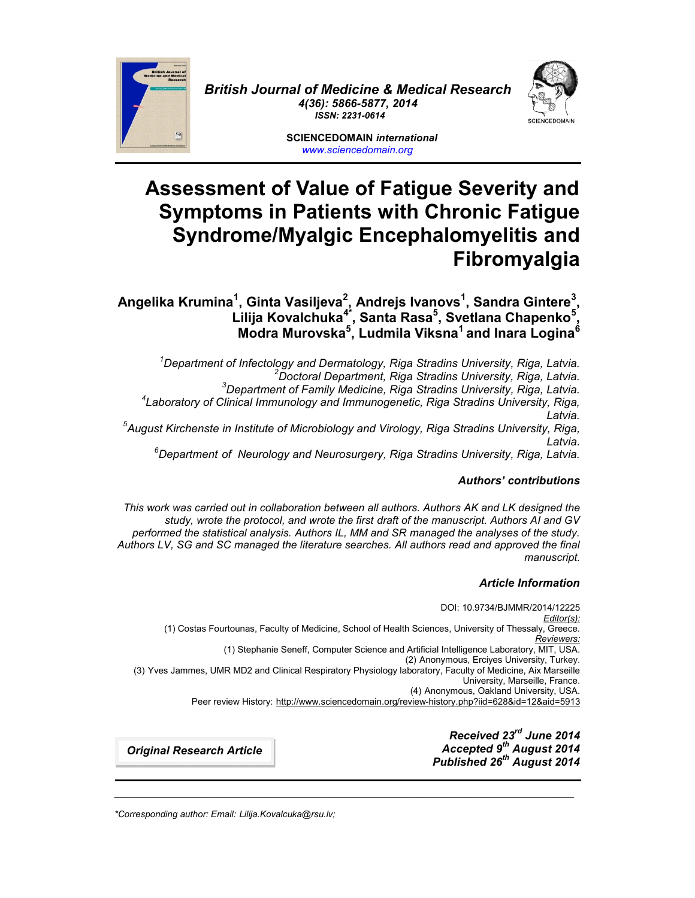

*British Journal of Medicine & Medical Research 4(36): 5866-5877, 2014 ISSN: 2231-0614*

> **SCIENCEDOMAIN** *international www.sciencedomain.org*

# **Assessment of Value of Fatigue Severity and Symptoms in Patients with Chronic Fatigue Syndrome/Myalgic Encephalomyelitis and Fibromyalgia**

**Angelika Krumina<sup>1</sup> , Ginta Vasiljeva<sup>2</sup> , Andrejs Ivanovs<sup>1</sup> , Sandra Gintere<sup>3</sup> , Lilija Kovalchuka4\*, Santa Rasa<sup>5</sup> , Svetlana Chapenko<sup>5</sup> , Modra Murovska<sup>5</sup> , Ludmila Viksna<sup>1</sup> and Inara Logina<sup>6</sup>**

<sup>1</sup>Department of Infectology and Dermatology, Riga Stradins University, Riga, Latvia.<br><sup>2</sup>Doctoral Department, Riga Stradins University, Riga, Latvia.<br><sup>3</sup>Department of Family Medicine, Riga Stradins University, Riga, Latvia *Latvia. <sup>5</sup>August Kirchenste in Institute of Microbiology and Virology, Riga Stradins University, Riga,*

*Latvia. <sup>6</sup>Department of Neurology and Neurosurgery, Riga Stradins University, Riga, Latvia.*

# *Authors' contributions*

*This work was carried out in collaboration between all authors. Authors AK and LK designed the study, wrote the protocol, and wrote the first draft of the manuscript. Authors AI and GV performed the statistical analysis. Authors IL, MM and SR managed the analyses of the study. Authors LV, SG and SC managed the literature searches. All authors read and approved the final manuscript.*

# *Article Information*

DOI: 10.9734/BJMMR/2014/12225 *Editor(s):* (1) Costas Fourtounas, Faculty of Medicine, School of Health Sciences, University of Thessaly, Greece. *Reviewers:* (1) Stephanie Seneff, Computer Science and Artificial Intelligence Laboratory, MIT, USA. (2) Anonymous, Erciyes University, Turkey. (3) Yves Jammes, UMR MD2 and Clinical Respiratory Physiology laboratory, Faculty of Medicine, Aix Marseille University, Marseille, France. (4) Anonymous, Oakland University, USA. Peer review History: http://www.sciencedomain.org/review-history.php?iid=628&id=12&aid=5913

\_\_\_\_\_\_\_\_\_\_\_\_\_\_\_\_\_\_\_\_\_\_\_\_\_\_\_\_\_\_\_\_\_\_\_\_\_\_\_\_\_\_\_\_\_\_\_\_\_\_\_\_\_\_\_\_\_\_\_\_\_\_\_\_\_\_\_\_\_\_\_\_\_\_\_\_\_\_\_\_\_\_\_\_\_\_\_\_\_\_\_

*Received 23rd June 2014 Accepted 9 th August 2014 Published 26 th August 2014*

*Original Research Article*

*\*Corresponding author: Email: Lilija.Kovalcuka@rsu.lv;*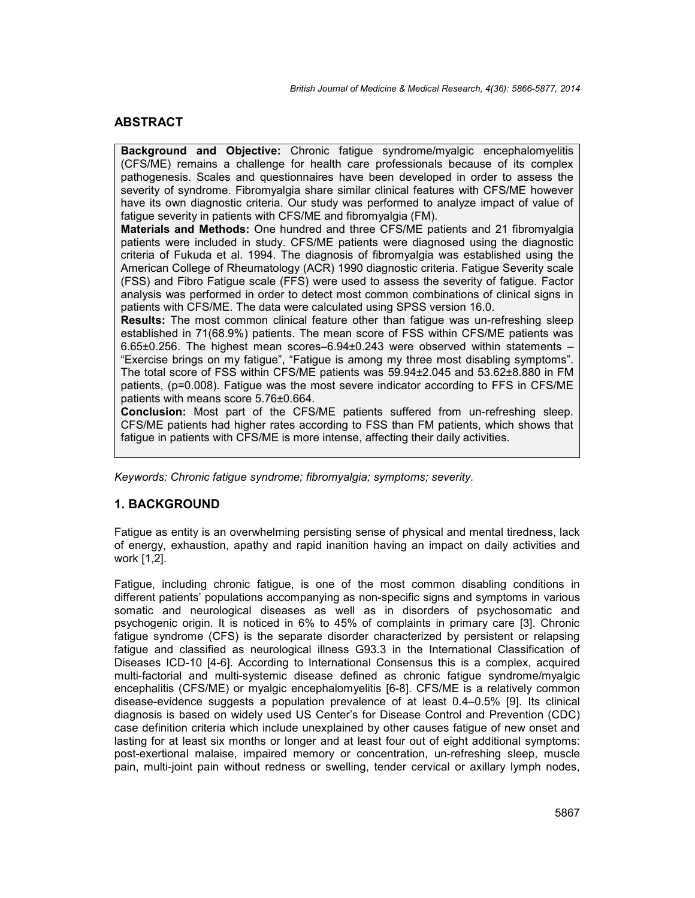# **ABSTRACT**

**Background and Objective:** Chronic fatigue syndrome/myalgic encephalomyelitis (CFS/ME) remains a challenge for health care professionals because of its complex pathogenesis. Scales and questionnaires have been developed in order to assess the severity of syndrome. Fibromyalgia share similar clinical features with CFS/ME however have its own diagnostic criteria. Our study was performed to analyze impact of value of fatigue severity in patients with CFS/ME and fibromyalgia (FM).

**Materials and Methods:** One hundred and three CFS/ME patients and 21 fibromyalgia patients were included in study. CFS/ME patients were diagnosed using the diagnostic criteria of Fukuda et al. 1994. The diagnosis of fibromyalgia was established using the American College of Rheumatology (ACR) 1990 diagnostic criteria. Fatigue Severity scale (FSS) and Fibro Fatigue scale (FFS) were used to assess the severity of fatigue. Factor analysis was performed in order to detect most common combinations of clinical signs in patients with CFS/ME. The data were calculated using SPSS version 16.0.

**Results:** The most common clinical feature other than fatigue was un-refreshing sleep established in 71(68.9%) patients. The mean score of FSS within CFS/ME patients was 6.65±0.256. The highest mean scores–6.94±0.243 were observed within statements – "Exercise brings on my fatigue", "Fatigue is among my three most disabling symptoms". The total score of FSS within CFS/ME patients was 59.94±2.045 and 53.62±8.880 in FM patients, (p=0.008). Fatigue was the most severe indicator according to FFS in CFS/ME patients with means score 5.76±0.664.

**Conclusion:** Most part of the CFS/ME patients suffered from un-refreshing sleep. CFS/ME patients had higher rates according to FSS than FM patients, which shows that fatigue in patients with CFS/ME is more intense, affecting their daily activities.

*Keywords: Chronic fatigue syndrome; fibromyalgia; symptoms; severity.*

# **1. BACKGROUND**

Fatigue as entity is an overwhelming persisting sense of physical and mental tiredness, lack of energy, exhaustion, apathy and rapid inanition having an impact on daily activities and work [1,2].

Fatigue, including chronic fatigue, is one of the most common disabling conditions in different patients' populations accompanying as non-specific signs and symptoms in various somatic and neurological diseases as well as in disorders of psychosomatic and psychogenic origin. It is noticed in 6% to 45% of complaints in primary care [3]. Chronic fatigue syndrome (CFS) is the separate disorder characterized by persistent or relapsing fatigue and classified as neurological illness G93.3 in the International Classification of Diseases ICD-10 [4-6]. According to International Consensus this is a complex, acquired multi-factorial and multi-systemic disease defined as chronic fatigue syndrome/myalgic encephalitis (CFS/ME) or myalgic encephalomyelitis [6-8]. CFS/ME is a relatively common disease-evidence suggests a population prevalence of at least 0.4–0.5% [9]. Its clinical diagnosis is based on widely used US Center's for Disease Control and Prevention (CDC) case definition criteria which include unexplained by other causes fatigue of new onset and lasting for at least six months or longer and at least four out of eight additional symptoms: post-exertional malaise, impaired memory or concentration, un-refreshing sleep, muscle pain, multi-joint pain without redness or swelling, tender cervical or axillary lymph nodes,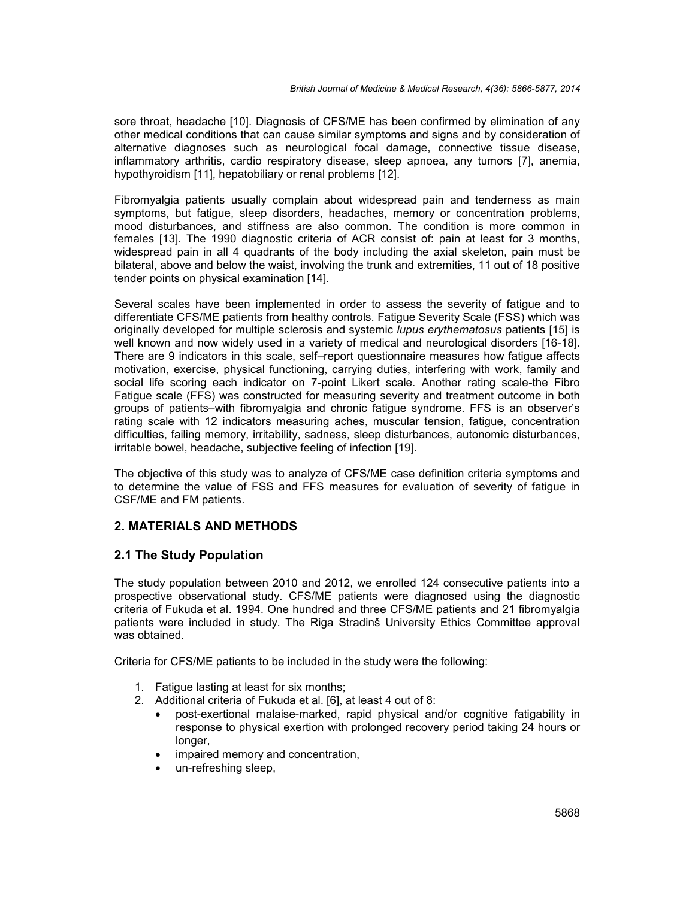sore throat, headache [10]. Diagnosis of CFS/ME has been confirmed by elimination of any other medical conditions that can cause similar symptoms and signs and by consideration of alternative diagnoses such as neurological focal damage, connective tissue disease, inflammatory arthritis, cardio respiratory disease, sleep apnoea, any tumors [7], anemia, hypothyroidism [11], hepatobiliary or renal problems [12].

Fibromyalgia patients usually complain about widespread pain and tenderness as main symptoms, but fatigue, sleep disorders, headaches, memory or concentration problems, mood disturbances, and stiffness are also common. The condition is more common in females [13]. The 1990 diagnostic criteria of ACR consist of: pain at least for 3 months, widespread pain in all 4 quadrants of the body including the axial skeleton, pain must be bilateral, above and below the waist, involving the trunk and extremities, 11 out of 18 positive tender points on physical examination [14].

Several scales have been implemented in order to assess the severity of fatigue and to differentiate CFS/ME patients from healthy controls. Fatigue Severity Scale (FSS) which was originally developed for multiple sclerosis and systemic *lupus erythematosus* patients [15] is well known and now widely used in a variety of medical and neurological disorders [16-18]. There are 9 indicators in this scale, self–report questionnaire measures how fatigue affects motivation, exercise, physical functioning, carrying duties, interfering with work, family and social life scoring each indicator on 7-point Likert scale. Another rating scale-the Fibro Fatigue scale (FFS) was constructed for measuring severity and treatment outcome in both groups of patients–with fibromyalgia and chronic fatigue syndrome. FFS is an observer's rating scale with 12 indicators measuring aches, muscular tension, fatigue, concentration difficulties, failing memory, irritability, sadness, sleep disturbances, autonomic disturbances, irritable bowel, headache, subjective feeling of infection [19].

The objective of this study was to analyze of CFS/ME case definition criteria symptoms and to determine the value of FSS and FFS measures for evaluation of severity of fatigue in CSF/ME and FM patients.

# **2. MATERIALS AND METHODS**

# **2.1 The Study Population**

The study population between 2010 and 2012, we enrolled 124 consecutive patients into a prospective observational study. CFS/ME patients were diagnosed using the diagnostic criteria of Fukuda et al. 1994. One hundred and three CFS/ME patients and 21 fibromyalgia patients were included in study. The Riga Stradinš University Ethics Committee approval was obtained.

Criteria for CFS/ME patients to be included in the study were the following:

- 1. Fatigue lasting at least for six months;
- 2. Additional criteria of Fukuda et al. [6], at least 4 out of 8:
	- post-exertional malaise-marked, rapid physical and/or cognitive fatigability in response to physical exertion with prolonged recovery period taking 24 hours or longer,
	- impaired memory and concentration,
	- un-refreshing sleep,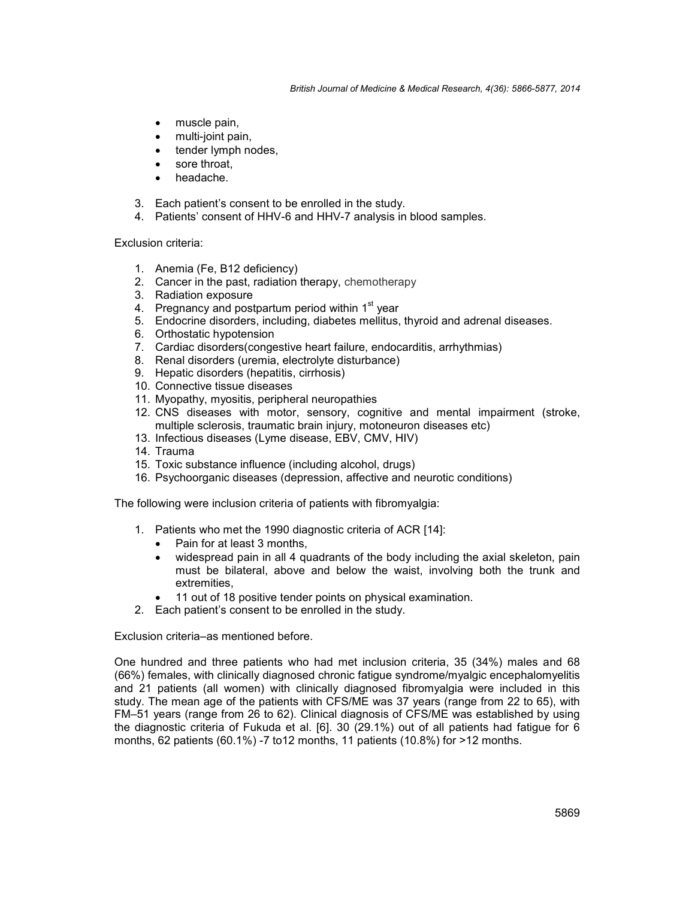*British Journal of Medicine & Medical Research, 4(36): 5866-5877, 2014*

- muscle pain,
- multi-joint pain,
- tender lymph nodes,
- sore throat,
- headache.
- 3. Each patient's consent to be enrolled in the study.
- 4. Patients' consent of HHV-6 and HHV-7 analysis in blood samples.

Exclusion criteria:

- 1. Anemia (Fe, B12 deficiency)
- 2. Cancer in the past, radiation therapy, chemotherapy
- 3. Radiation exposure
- 4. Pregnancy and postpartum period within 1<sup>st</sup> year
- 5. Endocrine disorders, including, diabetes mellitus, thyroid and adrenal diseases.
- 6. Orthostatic hypotension
- 7. Cardiac disorders(congestive heart failure, endocarditis, arrhythmias)
- 8. Renal disorders (uremia, electrolyte disturbance)
- 9. Hepatic disorders (hepatitis, cirrhosis)
- 10. Connective tissue diseases
- 11. Myopathy, myositis, peripheral neuropathies
- 12. CNS diseases with motor, sensory, cognitive and mental impairment (stroke, multiple sclerosis, traumatic brain injury, motoneuron diseases etc)
- 13. Infectious diseases (Lyme disease, EBV, CMV, HIV)
- 14. Trauma
- 15. Toxic substance influence (including alcohol, drugs)
- 16. Psychoorganic diseases (depression, affective and neurotic conditions)

The following were inclusion criteria of patients with fibromyalgia:

- 1. Patients who met the 1990 diagnostic criteria of ACR [14]:
	- Pain for at least 3 months,
	- widespread pain in all 4 quadrants of the body including the axial skeleton, pain must be bilateral, above and below the waist, involving both the trunk and extremities,
	- 11 out of 18 positive tender points on physical examination.
- 2. Each patient's consent to be enrolled in the study.

Exclusion criteria–as mentioned before.

One hundred and three patients who had met inclusion criteria, 35 (34%) males and 68 (66%) females, with clinically diagnosed chronic fatigue syndrome/myalgic encephalomyelitis and 21 patients (all women) with clinically diagnosed fibromyalgia were included in this study. The mean age of the patients with CFS/ME was 37 years (range from 22 to 65), with FM–51 years (range from 26 to 62). Clinical diagnosis of CFS/ME was established by using the diagnostic criteria of Fukuda et al. [6]. 30 (29.1%) out of all patients had fatigue for 6 months, 62 patients (60.1%) -7 to12 months, 11 patients (10.8%) for >12 months.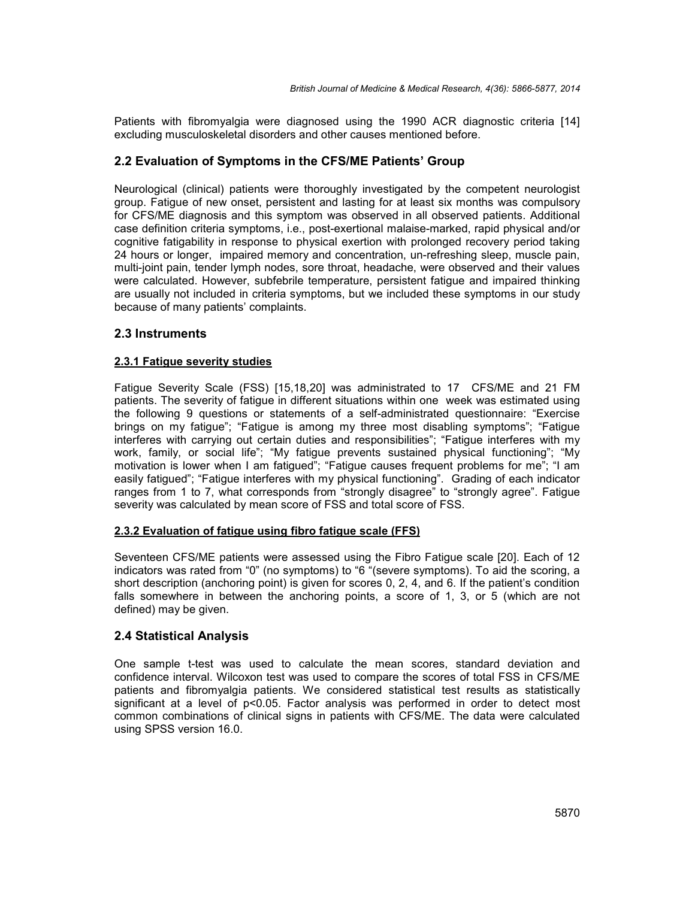Patients with fibromyalgia were diagnosed using the 1990 ACR diagnostic criteria [14] excluding musculoskeletal disorders and other causes mentioned before.

# **2.2 Evaluation of Symptoms in the CFS/ME Patients' Group**

Neurological (clinical) patients were thoroughly investigated by the competent neurologist group. Fatigue of new onset, persistent and lasting for at least six months was compulsory for CFS/ME diagnosis and this symptom was observed in all observed patients. Additional case definition criteria symptoms, i.e., post-exertional malaise-marked, rapid physical and/or cognitive fatigability in response to physical exertion with prolonged recovery period taking 24 hours or longer, impaired memory and concentration, un-refreshing sleep, muscle pain, multi-joint pain, tender lymph nodes, sore throat, headache, were observed and their values were calculated. However, subfebrile temperature, persistent fatigue and impaired thinking are usually not included in criteria symptoms, but we included these symptoms in our study because of many patients' complaints.

## **2.3 Instruments**

## **2.3.1 Fatigue severity studies**

Fatigue Severity Scale (FSS) [15,18,20] was administrated to 17 CFS/ME and 21 FM patients. The severity of fatigue in different situations within one week was estimated using the following 9 questions or statements of a self-administrated questionnaire: "Exercise brings on my fatigue"; "Fatigue is among my three most disabling symptoms"; "Fatigue interferes with carrying out certain duties and responsibilities"; "Fatigue interferes with my work, family, or social life"; "My fatigue prevents sustained physical functioning"; "My motivation is lower when I am fatigued"; "Fatigue causes frequent problems for me"; "I am easily fatigued"; "Fatigue interferes with my physical functioning". Grading of each indicator ranges from 1 to 7, what corresponds from "strongly disagree" to "strongly agree". Fatigue severity was calculated by mean score of FSS and total score of FSS.

#### **2.3.2 Evaluation of fatigue using fibro fatigue scale (FFS)**

Seventeen CFS/ME patients were assessed using the Fibro Fatigue scale [20]. Each of 12 indicators was rated from "0" (no symptoms) to "6 "(severe symptoms). To aid the scoring, a short description (anchoring point) is given for scores 0, 2, 4, and 6. If the patient's condition falls somewhere in between the anchoring points, a score of 1, 3, or 5 (which are not defined) may be given.

# **2.4 Statistical Analysis**

One sample t-test was used to calculate the mean scores, standard deviation and confidence interval. Wilcoxon test was used to compare the scores of total FSS in CFS/ME patients and fibromyalgia patients. We considered statistical test results as statistically significant at a level of p<0.05. Factor analysis was performed in order to detect most common combinations of clinical signs in patients with CFS/ME. The data were calculated using SPSS version 16.0.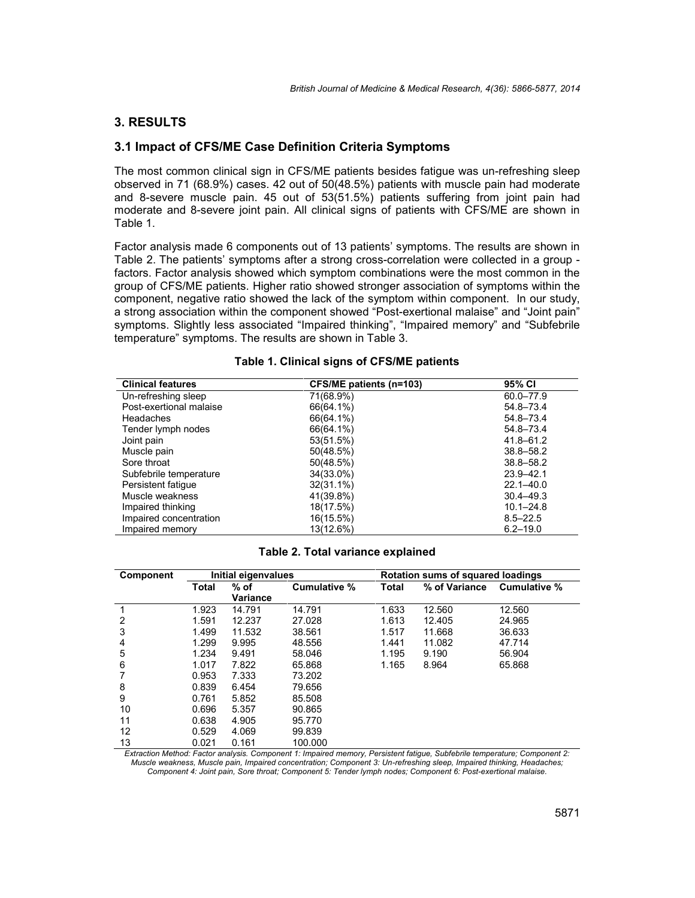## **3. RESULTS**

#### **3.1 Impact of CFS/ME Case Definition Criteria Symptoms**

The most common clinical sign in CFS/ME patients besides fatigue was un-refreshing sleep observed in 71 (68.9%) cases. 42 out of 50(48.5%) patients with muscle pain had moderate and 8-severe muscle pain. 45 out of 53(51.5%) patients suffering from joint pain had moderate and 8-severe joint pain. All clinical signs of patients with CFS/ME are shown in Table 1.

Factor analysis made 6 components out of 13 patients' symptoms. The results are shown in Table 2. The patients' symptoms after a strong cross-correlation were collected in a group factors. Factor analysis showed which symptom combinations were the most common in the group of CFS/ME patients. Higher ratio showed stronger association of symptoms within the component, negative ratio showed the lack of the symptom within component. In our study, a strong association within the component showed "Post-exertional malaise" and "Joint pain" symptoms. Slightly less associated "Impaired thinking", "Impaired memory" and "Subfebrile temperature" symptoms. The results are shown in Table 3.

| <b>Clinical features</b> | CFS/ME patients (n=103) | 95% CI        |
|--------------------------|-------------------------|---------------|
| Un-refreshing sleep      | 71(68.9%)               | 60.0-77.9     |
| Post-exertional malaise  | 66(64.1%)               | 54.8-73.4     |
| Headaches                | 66(64.1%)               | 54.8-73.4     |
| Tender lymph nodes       | 66(64.1%)               | 54.8-73.4     |
| Joint pain               | 53(51.5%)               | $41.8 - 61.2$ |
| Muscle pain              | 50(48.5%)               | $38.8 - 58.2$ |
| Sore throat              | 50(48.5%)               | $38.8 - 58.2$ |
| Subfebrile temperature   | 34(33.0%)               | $23.9 - 42.1$ |
| Persistent fatigue       | $32(31.1\%)$            | $22.1 - 40.0$ |
| Muscle weakness          | 41(39.8%)               | $30.4 - 49.3$ |
| Impaired thinking        | 18(17.5%)               | $10.1 - 24.8$ |
| Impaired concentration   | 16(15.5%)               | $8.5 - 22.5$  |
| Impaired memory          | 13(12.6%)               | $6.2 - 19.0$  |

#### **Table 1. Clinical signs of CFS/ME patients**

#### **Table 2. Total variance explained**

| Component | Initial eigenvalues |                         |              | <b>Rotation sums of squared loadings</b> |               |              |
|-----------|---------------------|-------------------------|--------------|------------------------------------------|---------------|--------------|
|           | Total               | % of<br><b>Variance</b> | Cumulative % | <b>Total</b>                             | % of Variance | Cumulative % |
|           | 1.923               | 14.791                  | 14.791       | 1.633                                    | 12.560        | 12.560       |
| 2         | 1.591               | 12.237                  | 27.028       | 1.613                                    | 12.405        | 24.965       |
| 3         | 1.499               | 11.532                  | 38.561       | 1.517                                    | 11.668        | 36.633       |
| 4         | 1.299               | 9.995                   | 48.556       | 1.441                                    | 11.082        | 47.714       |
| 5         | 1.234               | 9.491                   | 58.046       | 1.195                                    | 9.190         | 56.904       |
| 6         | 1.017               | 7.822                   | 65.868       | 1.165                                    | 8.964         | 65.868       |
|           | 0.953               | 7.333                   | 73.202       |                                          |               |              |
| 8         | 0.839               | 6.454                   | 79.656       |                                          |               |              |
| 9         | 0.761               | 5.852                   | 85.508       |                                          |               |              |
| 10        | 0.696               | 5.357                   | 90.865       |                                          |               |              |
| 11        | 0.638               | 4.905                   | 95.770       |                                          |               |              |
| 12        | 0.529               | 4.069                   | 99.839       |                                          |               |              |
| 13        | 0.021               | 0.161                   | 100.000      |                                          |               |              |

*Extraction Method: Factor analysis. Component 1: Impaired memory, Persistent fatigue, Subfebrile temperature; Component 2: Muscle weakness, Muscle pain, Impaired concentration; Component 3: Un-refreshing sleep, Impaired thinking, Headaches; Component 4: Joint pain, Sore throat; Component 5: Tender lymph nodes; Component 6: Post-exertional malaise.*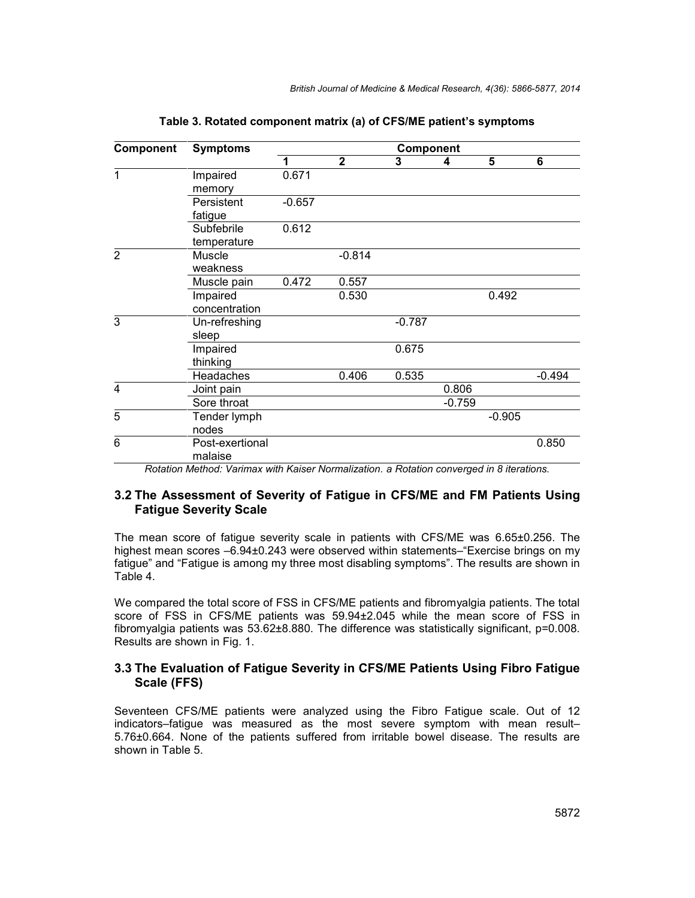| Component      | <b>Symptoms</b>            | Component |                |          |          |          |          |
|----------------|----------------------------|-----------|----------------|----------|----------|----------|----------|
|                |                            | 1         | $\overline{2}$ | 3        | 4        | 5        | 6        |
| 1              | Impaired                   | 0.671     |                |          |          |          |          |
|                | memory                     |           |                |          |          |          |          |
|                | Persistent                 | $-0.657$  |                |          |          |          |          |
|                | fatigue                    |           |                |          |          |          |          |
|                | Subfebrile                 | 0.612     |                |          |          |          |          |
|                | temperature                |           |                |          |          |          |          |
| $\overline{2}$ | <b>Muscle</b>              |           | $-0.814$       |          |          |          |          |
|                | weakness                   |           |                |          |          |          |          |
|                | Muscle pain                | 0.472     | 0.557          |          |          |          |          |
|                | Impaired                   |           | 0.530          |          |          | 0.492    |          |
|                | concentration              |           |                |          |          |          |          |
| 3              | Un-refreshing              |           |                | $-0.787$ |          |          |          |
|                | sleep                      |           |                |          |          |          |          |
|                | Impaired                   |           |                | 0.675    |          |          |          |
|                | thinking                   |           |                |          |          |          |          |
|                | Headaches                  |           | 0.406          | 0.535    |          |          | $-0.494$ |
| 4              | Joint pain                 |           |                |          | 0.806    |          |          |
|                | Sore throat                |           |                |          | $-0.759$ |          |          |
| 5              | Tender lymph               |           |                |          |          | $-0.905$ |          |
|                | nodes                      |           |                |          |          |          |          |
| 6              | Post-exertional<br>malaise |           |                |          |          |          | 0.850    |

**Table 3. Rotated component matrix (a) of CFS/ME patient's symptoms**

*Rotation Method: Varimax with Kaiser Normalization. a Rotation converged in 8 iterations.*

# **3.2 The Assessment of Severity of Fatigue in CFS/ME and FM Patients Using Fatigue Severity Scale**

The mean score of fatigue severity scale in patients with CFS/ME was 6.65±0.256. The highest mean scores –6.94±0.243 were observed within statements–"Exercise brings on my fatigue" and "Fatigue is among my three most disabling symptoms". The results are shown in Table 4.

We compared the total score of FSS in CFS/ME patients and fibromyalgia patients. The total score of FSS in CFS/ME patients was 59.94±2.045 while the mean score of FSS in fibromyalgia patients was 53.62±8.880. The difference was statistically significant, p=0.008. Results are shown in Fig. 1.

## **3.3 The Evaluation of Fatigue Severity in CFS/ME Patients Using Fibro Fatigue Scale (FFS)**

Seventeen CFS/ME patients were analyzed using the Fibro Fatigue scale. Out of 12 indicators–fatigue was measured as the most severe symptom with mean result– 5.76±0.664. None of the patients suffered from irritable bowel disease. The results are shown in Table 5.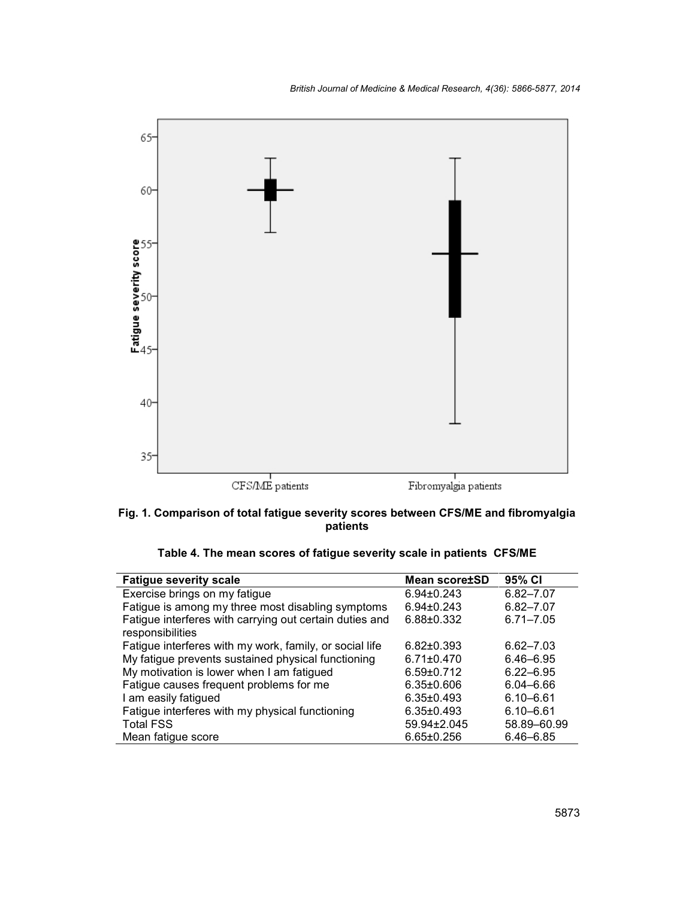

**Fig. 1. Comparison of total fatigue severity scores between CFS/ME and fibromyalgia patients**

| Table 4. The mean scores of fatigue severity scale in patients CFS/ME |  |
|-----------------------------------------------------------------------|--|
|-----------------------------------------------------------------------|--|

| <b>Fatigue severity scale</b>                                               | <b>Mean score±SD</b> | 95% CI        |
|-----------------------------------------------------------------------------|----------------------|---------------|
| Exercise brings on my fatigue                                               | $6.94 \pm 0.243$     | $6.82 - 7.07$ |
| Fatigue is among my three most disabling symptoms                           | $6.94 \pm 0.243$     | $6.82 - 7.07$ |
| Fatigue interferes with carrying out certain duties and<br>responsibilities | $6.88 \pm 0.332$     | $6.71 - 7.05$ |
| Fatigue interferes with my work, family, or social life                     | $6.82 \pm 0.393$     | $6.62 - 7.03$ |
| My fatigue prevents sustained physical functioning                          | $6.71 \pm 0.470$     | $6.46 - 6.95$ |
| My motivation is lower when I am fatigued                                   | $6.59 \pm 0.712$     | $6.22 - 6.95$ |
| Fatigue causes frequent problems for me                                     | $6.35 \pm 0.606$     | $6.04 - 6.66$ |
| I am easily fatigued                                                        | $6.35 \pm 0.493$     | $6.10 - 6.61$ |
| Fatigue interferes with my physical functioning                             | $6.35 \pm 0.493$     | $6.10 - 6.61$ |
| <b>Total FSS</b>                                                            | 59.94±2.045          | 58.89-60.99   |
| Mean fatigue score                                                          | $6.65 \pm 0.256$     | $6.46 - 6.85$ |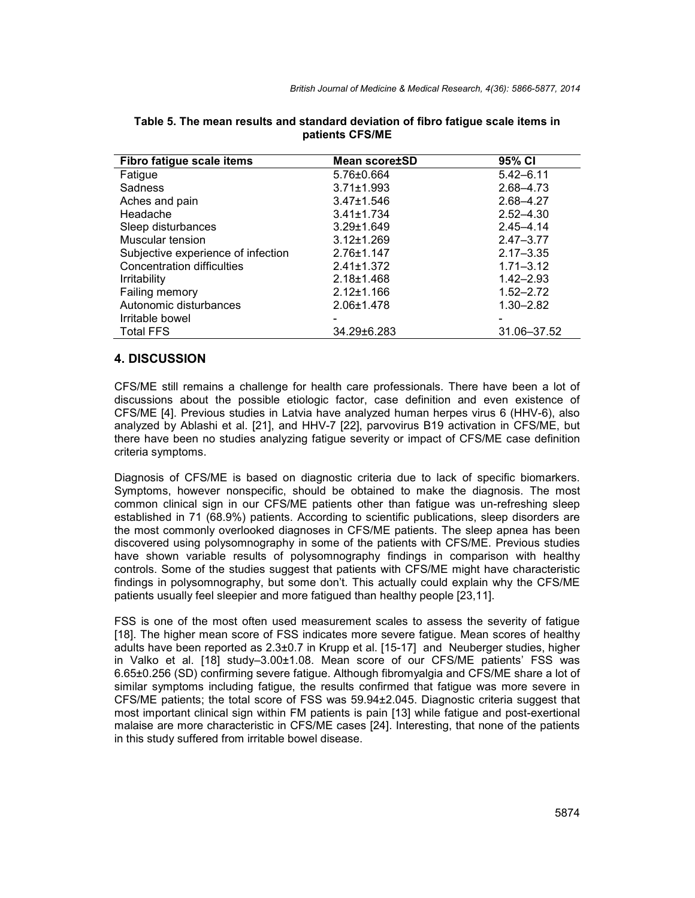| Fibro fatigue scale items          | <b>Mean score±SD</b>     | 95% CI                   |
|------------------------------------|--------------------------|--------------------------|
| Fatigue                            | 5.76±0.664               | $5.42 - 6.11$            |
| <b>Sadness</b>                     | $3.71 \pm 1.993$         | 2.68-4.73                |
| Aches and pain                     | $3.47 \pm 1.546$         | 2.68-4.27                |
| Headache                           | $3.41 \pm 1.734$         | $2.52 - 4.30$            |
| Sleep disturbances                 | $3.29 \pm 1.649$         | $2.45 - 4.14$            |
| Muscular tension                   | $3.12 \pm 1.269$         | $2.47 - 3.77$            |
| Subjective experience of infection | $2.76 \pm 1.147$         | $2.17 - 3.35$            |
| Concentration difficulties         | $2.41 \pm 1.372$         | $1.71 - 3.12$            |
| <b>Irritability</b>                | $2.18 \pm 1.468$         | $1.42 - 2.93$            |
| Failing memory                     | $2.12 \pm 1.166$         | $1.52 - 2.72$            |
| Autonomic disturbances             | 2.06±1.478               | $1.30 - 2.82$            |
| Irritable bowel                    | $\overline{\phantom{0}}$ | $\overline{\phantom{0}}$ |
| <b>Total FFS</b>                   | 34.29±6.283              | 31.06-37.52              |

| Table 5. The mean results and standard deviation of fibro fatigue scale items in |  |
|----------------------------------------------------------------------------------|--|
| patients CFS/ME                                                                  |  |

#### **4. DISCUSSION**

CFS/ME still remains a challenge for health care professionals. There have been a lot of discussions about the possible etiologic factor, case definition and even existence of CFS/ME [4]. Previous studies in Latvia have analyzed human herpes virus 6 (HHV-6), also analyzed by Ablashi et al. [21], and HHV-7 [22], parvovirus B19 activation in CFS/ME, but there have been no studies analyzing fatigue severity or impact of CFS/ME case definition criteria symptoms.

Diagnosis of CFS/ME is based on diagnostic criteria due to lack of specific biomarkers. Symptoms, however nonspecific, should be obtained to make the diagnosis. The most common clinical sign in our CFS/ME patients other than fatigue was un-refreshing sleep established in 71 (68.9%) patients. According to scientific publications, sleep disorders are the most commonly overlooked diagnoses in CFS/ME patients. The sleep apnea has been discovered using polysomnography in some of the patients with CFS/ME. Previous studies have shown variable results of polysomnography findings in comparison with healthy controls. Some of the studies suggest that patients with CFS/ME might have characteristic findings in polysomnography, but some don't. This actually could explain why the CFS/ME patients usually feel sleepier and more fatigued than healthy people [23,11].

FSS is one of the most often used measurement scales to assess the severity of fatigue [18]. The higher mean score of FSS indicates more severe fatigue. Mean scores of healthy adults have been reported as 2.3±0.7 in Krupp et al. [15-17] and Neuberger studies, higher in Valko et al. [18] study–3.00±1.08. Mean score of our CFS/ME patients' FSS was 6.65±0.256 (SD) confirming severe fatigue. Although fibromyalgia and CFS/ME share a lot of similar symptoms including fatigue, the results confirmed that fatigue was more severe in CFS/ME patients; the total score of FSS was 59.94±2.045. Diagnostic criteria suggest that most important clinical sign within FM patients is pain [13] while fatigue and post-exertional malaise are more characteristic in CFS/ME cases [24]. Interesting, that none of the patients in this study suffered from irritable bowel disease.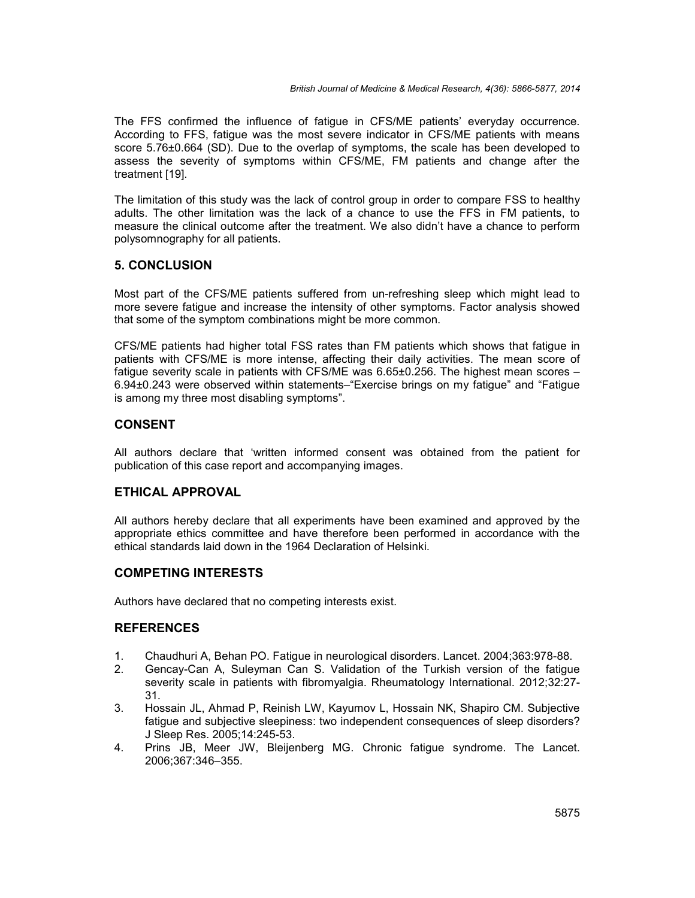The FFS confirmed the influence of fatigue in CFS/ME patients' everyday occurrence. According to FFS, fatigue was the most severe indicator in CFS/ME patients with means score 5.76±0.664 (SD). Due to the overlap of symptoms, the scale has been developed to assess the severity of symptoms within CFS/ME, FM patients and change after the treatment [19].

The limitation of this study was the lack of control group in order to compare FSS to healthy adults. The other limitation was the lack of a chance to use the FFS in FM patients, to measure the clinical outcome after the treatment. We also didn't have a chance to perform polysomnography for all patients.

# **5. CONCLUSION**

Most part of the CFS/ME patients suffered from un-refreshing sleep which might lead to more severe fatigue and increase the intensity of other symptoms. Factor analysis showed that some of the symptom combinations might be more common.

CFS/ME patients had higher total FSS rates than FM patients which shows that fatigue in patients with CFS/ME is more intense, affecting their daily activities. The mean score of fatigue severity scale in patients with CFS/ME was 6.65±0.256. The highest mean scores – 6.94±0.243 were observed within statements–"Exercise brings on my fatigue" and "Fatigue is among my three most disabling symptoms".

# **CONSENT**

All authors declare that 'written informed consent was obtained from the patient for publication of this case report and accompanying images.

# **ETHICAL APPROVAL**

All authors hereby declare that all experiments have been examined and approved by the appropriate ethics committee and have therefore been performed in accordance with the ethical standards laid down in the 1964 Declaration of Helsinki.

# **COMPETING INTERESTS**

Authors have declared that no competing interests exist.

# **REFERENCES**

- 1. Chaudhuri A, Behan PO. Fatigue in neurological disorders. Lancet. 2004;363:978-88.
- 2. Gencay-Can A, Suleyman Can S. Validation of the Turkish version of the fatigue severity scale in patients with fibromyalgia. Rheumatology International. 2012;32:27- 31.
- 3. Hossain JL, Ahmad P, Reinish LW, Kayumov L, Hossain NK, Shapiro CM. Subjective fatigue and subjective sleepiness: two independent consequences of sleep disorders? J Sleep Res. 2005;14:245-53.
- 4. Prins JB, Meer JW, Bleijenberg MG. Chronic fatigue syndrome. The Lancet. 2006;367:346–355.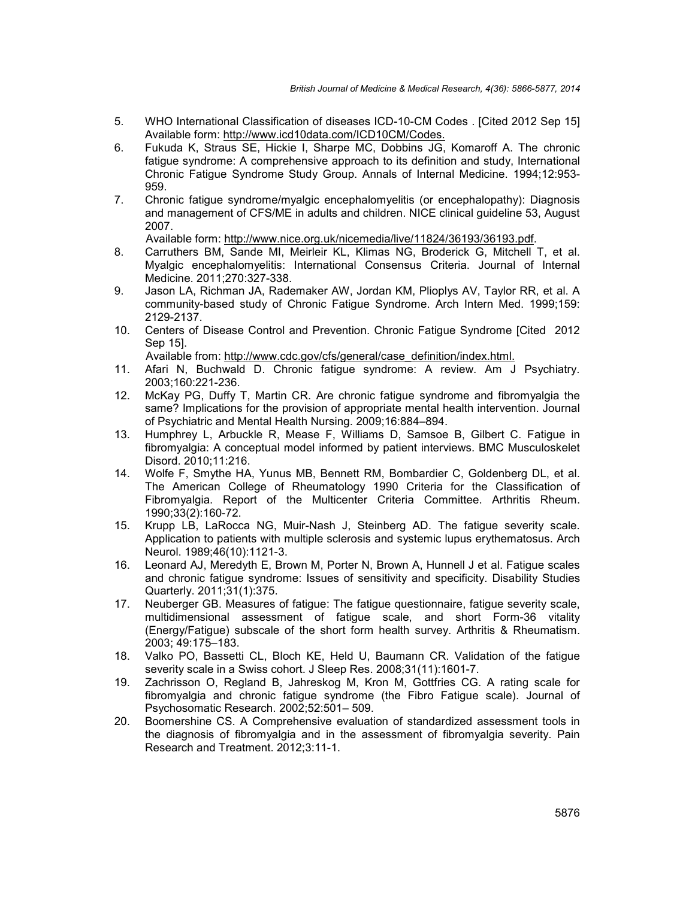- 5. WHO International Classification of diseases ICD-10-CM Codes . [Cited 2012 Sep 15] Available form: http://www.icd10data.com/ICD10CM/Codes.
- 6. Fukuda K, Straus SE, Hickie I, Sharpe MC, Dobbins JG, Komaroff A. The chronic fatigue syndrome: A comprehensive approach to its definition and study, International Chronic Fatigue Syndrome Study Group. Annals of Internal Medicine. 1994;12:953- 959.
- 7. Chronic fatigue syndrome/myalgic encephalomyelitis (or encephalopathy): Diagnosis and management of CFS/ME in adults and children. NICE clinical guideline 53, August 2007.

Available form: http://www.nice.org.uk/nicemedia/live/11824/36193/36193.pdf.

- 8. Carruthers BM, Sande MI, Meirleir KL, Klimas NG, Broderick G, Mitchell T, et al. Myalgic encephalomyelitis: International Consensus Criteria. Journal of Internal Medicine. 2011;270:327-338.
- 9. Jason LA, Richman JA, Rademaker AW, Jordan KM, Plioplys AV, Taylor RR, et al. A community-based study of Chronic Fatigue Syndrome. Arch Intern Med. 1999;159: 2129-2137.
- 10. Centers of Disease Control and Prevention. Chronic Fatigue Syndrome [Cited 2012 Sep 15].

Available from: http://www.cdc.gov/cfs/general/case\_definition/index.html.

- 11. Afari N, Buchwald D. Chronic fatigue syndrome: A review. Am J Psychiatry. 2003;160:221-236.
- 12. McKay PG, Duffy T, Martin CR. Are chronic fatigue syndrome and fibromyalgia the same? Implications for the provision of appropriate mental health intervention. Journal of Psychiatric and Mental Health Nursing. 2009;16:884–894.
- 13. Humphrey L, Arbuckle R, Mease F, Williams D, Samsoe B, Gilbert C. Fatigue in fibromyalgia: A conceptual model informed by patient interviews. BMC Musculoskelet Disord. 2010;11:216.
- 14. Wolfe F, Smythe HA, Yunus MB, Bennett RM, Bombardier C, Goldenberg DL, et al. The American College of Rheumatology 1990 Criteria for the Classification of Fibromyalgia. Report of the Multicenter Criteria Committee. Arthritis Rheum. 1990;33(2):160-72.
- 15. Krupp LB, LaRocca NG, Muir-Nash J, Steinberg AD. The fatigue severity scale. Application to patients with multiple sclerosis and systemic lupus erythematosus. Arch Neurol. 1989;46(10):1121-3.
- 16. Leonard AJ, Meredyth E, Brown M, Porter N, Brown A, Hunnell J et al. Fatigue scales and chronic fatigue syndrome: Issues of sensitivity and specificity. Disability Studies Quarterly. 2011;31(1):375.
- 17. Neuberger GB. Measures of fatigue: The fatigue questionnaire, fatigue severity scale, multidimensional assessment of fatigue scale, and short Form-36 vitality (Energy/Fatigue) subscale of the short form health survey. Arthritis & Rheumatism. 2003; 49:175–183.
- 18. Valko PO, Bassetti CL, Bloch KE, Held U, Baumann CR. Validation of the fatigue severity scale in a Swiss cohort. J Sleep Res. 2008;31(11):1601-7.
- 19. Zachrisson O, Regland B, Jahreskog M, Kron M, Gottfries CG. A rating scale for fibromyalgia and chronic fatigue syndrome (the Fibro Fatigue scale). Journal of Psychosomatic Research. 2002;52:501– 509.
- 20. Boomershine CS. A Comprehensive evaluation of standardized assessment tools in the diagnosis of fibromyalgia and in the assessment of fibromyalgia severity. Pain Research and Treatment. 2012;3:11-1.